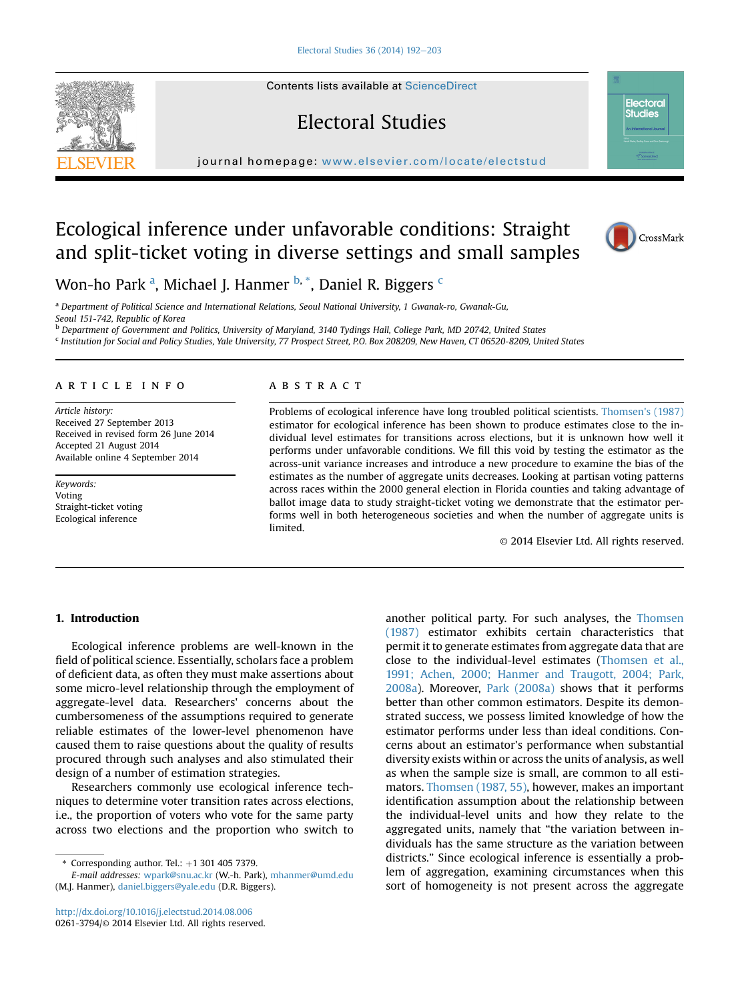Contents lists available at [ScienceDirect](www.sciencedirect.com/science/journal/02613794)

# Electoral Studies

journal homepage: [www.elsevier.com/locate/electstud](http://www.elsevier.com/locate/electstud)

# Ecological inference under unfavorable conditions: Straight and split-ticket voting in diverse settings and small samples

Won-ho Park <sup>a</sup>, Michael J. Hanmer <sup>b, \*</sup>, Daniel R. Biggers <sup>c</sup>

<sup>a</sup> Department of Political Science and International Relations, Seoul National University, 1 Gwanak-ro, Gwanak-Gu, Seoul 151-742, Republic of Korea

b Department of Government and Politics, University of Maryland, 3140 Tydings Hall, College Park, MD 20742, United States <sup>c</sup> Institution for Social and Policy Studies, Yale University, 77 Prospect Street, P.O. Box 208209, New Haven, CT 06520-8209, United States

article info

Article history: Received 27 September 2013 Received in revised form 26 June 2014 Accepted 21 August 2014 Available online 4 September 2014

Keywords: Voting Straight-ticket voting Ecological inference

## **ABSTRACT**

Problems of ecological inference have long troubled political scientists. [Thomsen's \(1987\)](#page-11-0) estimator for ecological inference has been shown to produce estimates close to the individual level estimates for transitions across elections, but it is unknown how well it performs under unfavorable conditions. We fill this void by testing the estimator as the across-unit variance increases and introduce a new procedure to examine the bias of the estimates as the number of aggregate units decreases. Looking at partisan voting patterns across races within the 2000 general election in Florida counties and taking advantage of ballot image data to study straight-ticket voting we demonstrate that the estimator performs well in both heterogeneous societies and when the number of aggregate units is limited.

© 2014 Elsevier Ltd. All rights reserved.

## 1. Introduction

Ecological inference problems are well-known in the field of political science. Essentially, scholars face a problem of deficient data, as often they must make assertions about some micro-level relationship through the employment of aggregate-level data. Researchers' concerns about the cumbersomeness of the assumptions required to generate reliable estimates of the lower-level phenomenon have caused them to raise questions about the quality of results procured through such analyses and also stimulated their design of a number of estimation strategies.

Researchers commonly use ecological inference techniques to determine voter transition rates across elections, i.e., the proportion of voters who vote for the same party across two elections and the proportion who switch to

 $*$  Corresponding author. Tel.:  $+1$  301 405 7379.

E-mail addresses: [wpark@snu.ac.kr](mailto:wpark@snu.ac.kr) (W.-h. Park), [mhanmer@umd.edu](mailto:mhanmer@umd.edu) (M.J. Hanmer), [daniel.biggers@yale.edu](mailto:daniel.biggers@yale.edu) (D.R. Biggers).

<http://dx.doi.org/10.1016/j.electstud.2014.08.006> 0261-3794/© 2014 Elsevier Ltd. All rights reserved.

another political party. For such analyses, the [Thomsen](#page-11-0) [\(1987\)](#page-11-0) estimator exhibits certain characteristics that permit it to generate estimates from aggregate data that are close to the individual-level estimates ([Thomsen et al.,](#page-11-0) [1991; Achen, 2000; Hanmer and Traugott, 2004; Park,](#page-11-0) [2008a\)](#page-11-0). Moreover, [Park \(2008a\)](#page-11-0) shows that it performs better than other common estimators. Despite its demonstrated success, we possess limited knowledge of how the estimator performs under less than ideal conditions. Concerns about an estimator's performance when substantial diversity exists within or across the units of analysis, as well as when the sample size is small, are common to all estimators. [Thomsen \(1987, 55\),](#page-11-0) however, makes an important identification assumption about the relationship between the individual-level units and how they relate to the aggregated units, namely that "the variation between individuals has the same structure as the variation between districts." Since ecological inference is essentially a problem of aggregation, examining circumstances when this sort of homogeneity is not present across the aggregate





**Electoral Studies**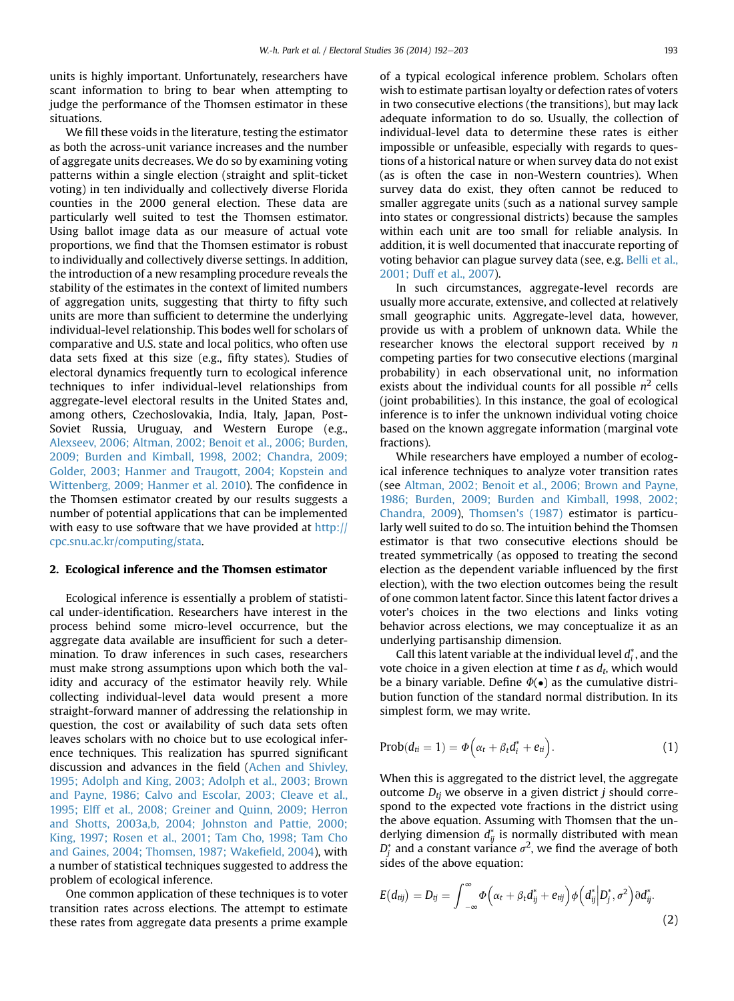units is highly important. Unfortunately, researchers have scant information to bring to bear when attempting to judge the performance of the Thomsen estimator in these situations.

We fill these voids in the literature, testing the estimator as both the across-unit variance increases and the number of aggregate units decreases. We do so by examining voting patterns within a single election (straight and split-ticket voting) in ten individually and collectively diverse Florida counties in the 2000 general election. These data are particularly well suited to test the Thomsen estimator. Using ballot image data as our measure of actual vote proportions, we find that the Thomsen estimator is robust to individually and collectively diverse settings. In addition, the introduction of a new resampling procedure reveals the stability of the estimates in the context of limited numbers of aggregation units, suggesting that thirty to fifty such units are more than sufficient to determine the underlying individual-level relationship. This bodes well for scholars of comparative and U.S. state and local politics, who often use data sets fixed at this size (e.g., fifty states). Studies of electoral dynamics frequently turn to ecological inference techniques to infer individual-level relationships from aggregate-level electoral results in the United States and, among others, Czechoslovakia, India, Italy, Japan, Post-Soviet Russia, Uruguay, and Western Europe (e.g., [Alexseev, 2006; Altman, 2002; Benoit et al., 2006; Burden,](#page-10-0) [2009; Burden and Kimball, 1998, 2002; Chandra, 2009;](#page-10-0) [Golder, 2003; Hanmer and Traugott, 2004; Kopstein and](#page-10-0) [Wittenberg, 2009; Hanmer et al. 2010](#page-10-0)). The confidence in the Thomsen estimator created by our results suggests a number of potential applications that can be implemented with easy to use software that we have provided at [http://](http://cpc.snu.ac.kr/computing/stata) [cpc.snu.ac.kr/computing/stata](http://cpc.snu.ac.kr/computing/stata).

## 2. Ecological inference and the Thomsen estimator

Ecological inference is essentially a problem of statistical under-identification. Researchers have interest in the process behind some micro-level occurrence, but the aggregate data available are insufficient for such a determination. To draw inferences in such cases, researchers must make strong assumptions upon which both the validity and accuracy of the estimator heavily rely. While collecting individual-level data would present a more straight-forward manner of addressing the relationship in question, the cost or availability of such data sets often leaves scholars with no choice but to use ecological inference techniques. This realization has spurred significant discussion and advances in the field ([Achen and Shivley,](#page-10-0) [1995; Adolph and King, 2003; Adolph et al., 2003; Brown](#page-10-0) [and Payne, 1986; Calvo and Escolar, 2003; Cleave et al.,](#page-10-0) [1995; Elff et al., 2008; Greiner and Quinn, 2009; Herron](#page-10-0) [and Shotts, 2003a,b, 2004; Johnston and Pattie, 2000;](#page-10-0) [King, 1997; Rosen et al., 2001; Tam Cho, 1998; Tam Cho](#page-10-0) [and Gaines, 2004; Thomsen, 1987; Wake](#page-10-0)field, 2004), with a number of statistical techniques suggested to address the problem of ecological inference.

One common application of these techniques is to voter transition rates across elections. The attempt to estimate these rates from aggregate data presents a prime example of a typical ecological inference problem. Scholars often wish to estimate partisan loyalty or defection rates of voters in two consecutive elections (the transitions), but may lack adequate information to do so. Usually, the collection of individual-level data to determine these rates is either impossible or unfeasible, especially with regards to questions of a historical nature or when survey data do not exist (as is often the case in non-Western countries). When survey data do exist, they often cannot be reduced to smaller aggregate units (such as a national survey sample into states or congressional districts) because the samples within each unit are too small for reliable analysis. In addition, it is well documented that inaccurate reporting of voting behavior can plague survey data (see, e.g. [Belli et al.,](#page-10-0) [2001; Duff et al., 2007\)](#page-10-0).

In such circumstances, aggregate-level records are usually more accurate, extensive, and collected at relatively small geographic units. Aggregate-level data, however, provide us with a problem of unknown data. While the researcher knows the electoral support received by  $n$ competing parties for two consecutive elections (marginal probability) in each observational unit, no information exists about the individual counts for all possible  $n^2$  cells (joint probabilities). In this instance, the goal of ecological inference is to infer the unknown individual voting choice based on the known aggregate information (marginal vote fractions).

While researchers have employed a number of ecological inference techniques to analyze voter transition rates (see [Altman, 2002; Benoit et al., 2006; Brown and Payne,](#page-10-0) [1986; Burden, 2009; Burden and Kimball, 1998, 2002;](#page-10-0) [Chandra, 2009](#page-10-0)), [Thomsen's \(1987\)](#page-11-0) estimator is particularly well suited to do so. The intuition behind the Thomsen estimator is that two consecutive elections should be treated symmetrically (as opposed to treating the second election as the dependent variable influenced by the first election), with the two election outcomes being the result of one common latent factor. Since this latent factor drives a voter's choices in the two elections and links voting behavior across elections, we may conceptualize it as an underlying partisanship dimension.

Call this latent variable at the individual level  $d_i^*$ , and the vote choice in a given election at time t as  $d_t$ , which would be a binary variable. Define  $\Phi(\bullet)$  as the cumulative distribution function of the standard normal distribution. In its simplest form, we may write.

$$
Prob(d_{ti} = 1) = \Phi\left(\alpha_t + \beta_t d_i^* + e_{ti}\right).
$$
 (1)

When this is aggregated to the district level, the aggregate outcome  $D_{ti}$  we observe in a given district j should correspond to the expected vote fractions in the district using the above equation. Assuming with Thomsen that the underlying dimension  $d_{ij}^*$  is normally distributed with mean  $D^*_j$  and a constant variance  $\sigma^2$ , we find the average of both sides of the above equation:

$$
E(d_{ij}) = D_{ij} = \int_{-\infty}^{\infty} \Phi\Big(\alpha_t + \beta_t d_{ij}^* + e_{tij}\Big) \phi\Big(d_{ij}^* \Big| D_j^*, \sigma^2\Big) \partial d_{ij}^*.
$$
\n(2)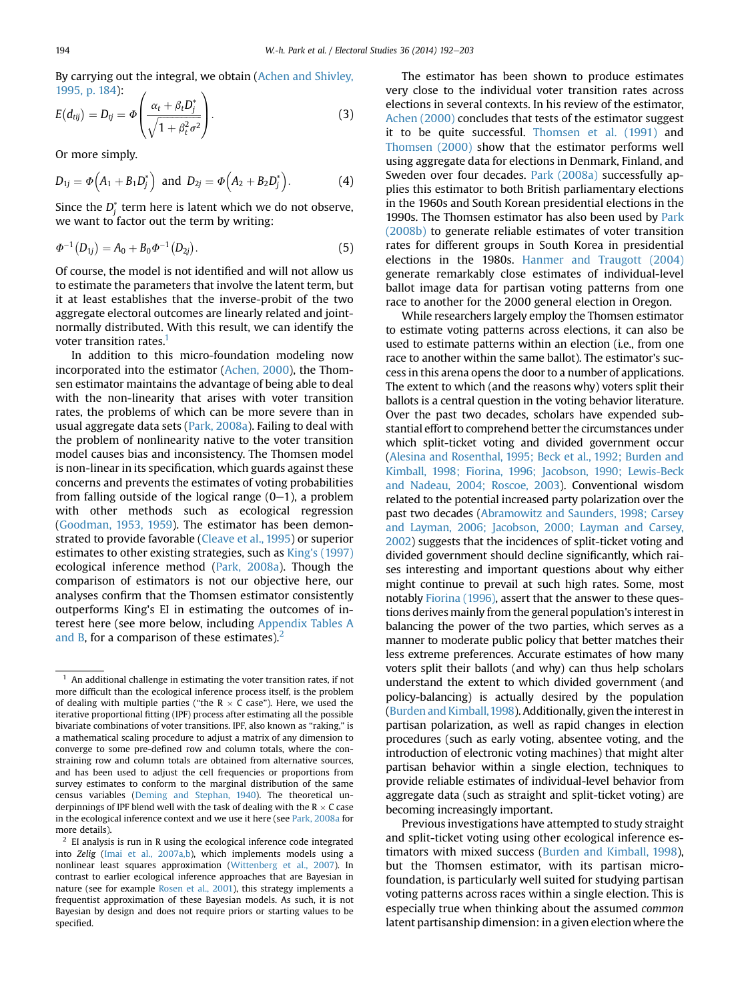By carrying out the integral, we obtain [\(Achen and Shivley,](#page-10-0) [1995, p. 184](#page-10-0)):  $\overline{1}$  $\lambda$ 

$$
E(d_{tij}) = D_{tj} = \Phi\left(\frac{\alpha_t + \beta_t D_j^*}{\sqrt{1 + \beta_t^2 \sigma^2}}\right).
$$
\n(3)

Or more simply.

$$
D_{1j} = \Phi(A_1 + B_1 D_j^*)
$$
 and  $D_{2j} = \Phi(A_2 + B_2 D_j^*)$ . (4)

Since the  $D^*_j$  term here is latent which we do not observe, we want to factor out the term by writing:

$$
\Phi^{-1}(D_{1j})=A_0+B_0\Phi^{-1}(D_{2j}). \hspace{1.5cm} (5)
$$

Of course, the model is not identified and will not allow us to estimate the parameters that involve the latent term, but it at least establishes that the inverse-probit of the two aggregate electoral outcomes are linearly related and jointnormally distributed. With this result, we can identify the voter transition rates.<sup>1</sup>

In addition to this micro-foundation modeling now incorporated into the estimator ([Achen, 2000](#page-10-0)), the Thomsen estimator maintains the advantage of being able to deal with the non-linearity that arises with voter transition rates, the problems of which can be more severe than in usual aggregate data sets ([Park, 2008a\)](#page-11-0). Failing to deal with the problem of nonlinearity native to the voter transition model causes bias and inconsistency. The Thomsen model is non-linear in its specification, which guards against these concerns and prevents the estimates of voting probabilities from falling outside of the logical range  $(0-1)$ , a problem with other methods such as ecological regression [\(Goodman, 1953, 1959\)](#page-11-0). The estimator has been demonstrated to provide favorable ([Cleave et al., 1995\)](#page-10-0) or superior estimates to other existing strategies, such as [King's \(1997\)](#page-11-0) ecological inference method [\(Park, 2008a](#page-11-0)). Though the comparison of estimators is not our objective here, our analyses confirm that the Thomsen estimator consistently outperforms King's EI in estimating the outcomes of interest here (see more below, including Appendix Tables A and B, for a comparison of these estimates). $<sup>2</sup>$ </sup>

The estimator has been shown to produce estimates very close to the individual voter transition rates across elections in several contexts. In his review of the estimator, [Achen \(2000\)](#page-10-0) concludes that tests of the estimator suggest it to be quite successful. [Thomsen et al. \(1991\)](#page-11-0) and [Thomsen \(2000\)](#page-11-0) show that the estimator performs well using aggregate data for elections in Denmark, Finland, and Sweden over four decades. [Park \(2008a\)](#page-11-0) successfully applies this estimator to both British parliamentary elections in the 1960s and South Korean presidential elections in the 1990s. The Thomsen estimator has also been used by [Park](#page-11-0) [\(2008b\)](#page-11-0) to generate reliable estimates of voter transition rates for different groups in South Korea in presidential elections in the 1980s. [Hanmer and Traugott \(2004\)](#page-11-0) generate remarkably close estimates of individual-level ballot image data for partisan voting patterns from one race to another for the 2000 general election in Oregon.

While researchers largely employ the Thomsen estimator to estimate voting patterns across elections, it can also be used to estimate patterns within an election (i.e., from one race to another within the same ballot). The estimator's success in this arena opens the door to a number of applications. The extent to which (and the reasons why) voters split their ballots is a central question in the voting behavior literature. Over the past two decades, scholars have expended substantial effort to comprehend better the circumstances under which split-ticket voting and divided government occur [\(Alesina and Rosenthal, 1995; Beck et al., 1992; Burden and](#page-10-0) [Kimball, 1998; Fiorina, 1996; Jacobson, 1990; Lewis-Beck](#page-10-0) [and Nadeau, 2004; Roscoe, 2003](#page-10-0)). Conventional wisdom related to the potential increased party polarization over the past two decades ([Abramowitz and Saunders, 1998; Carsey](#page-10-0) [and Layman, 2006; Jacobson, 2000; Layman and Carsey,](#page-10-0) [2002](#page-10-0)) suggests that the incidences of split-ticket voting and divided government should decline significantly, which raises interesting and important questions about why either might continue to prevail at such high rates. Some, most notably [Fiorina \(1996\),](#page-10-0) assert that the answer to these questions derives mainly from the general population's interest in balancing the power of the two parties, which serves as a manner to moderate public policy that better matches their less extreme preferences. Accurate estimates of how many voters split their ballots (and why) can thus help scholars understand the extent to which divided government (and policy-balancing) is actually desired by the population [\(Burden and Kimball,1998\)](#page-10-0). Additionally, given the interest in partisan polarization, as well as rapid changes in election procedures (such as early voting, absentee voting, and the introduction of electronic voting machines) that might alter partisan behavior within a single election, techniques to provide reliable estimates of individual-level behavior from aggregate data (such as straight and split-ticket voting) are becoming increasingly important.

Previous investigations have attempted to study straight and split-ticket voting using other ecological inference estimators with mixed success ([Burden and Kimball, 1998](#page-10-0)), but the Thomsen estimator, with its partisan microfoundation, is particularly well suited for studying partisan voting patterns across races within a single election. This is especially true when thinking about the assumed common latent partisanship dimension: in a given election where the

 $1$  An additional challenge in estimating the voter transition rates, if not more difficult than the ecological inference process itself, is the problem of dealing with multiple parties ("the R  $\times$  C case"). Here, we used the iterative proportional fitting (IPF) process after estimating all the possible bivariate combinations of voter transitions. IPF, also known as "raking," is a mathematical scaling procedure to adjust a matrix of any dimension to converge to some pre-defined row and column totals, where the constraining row and column totals are obtained from alternative sources, and has been used to adjust the cell frequencies or proportions from survey estimates to conform to the marginal distribution of the same census variables [\(Deming and Stephan, 1940\)](#page-10-0). The theoretical underpinnings of IPF blend well with the task of dealing with the R  $\times$  C case in the ecological inference context and we use it here (see [Park, 2008a](#page-11-0) for more details).

 $2$  EI analysis is run in R using the ecological inference code integrated into Zelig [\(Imai et al., 2007a,b](#page-11-0)), which implements models using a nonlinear least squares approximation [\(Wittenberg et al., 2007](#page-11-0)). In contrast to earlier ecological inference approaches that are Bayesian in nature (see for example [Rosen et al., 2001\)](#page-11-0), this strategy implements a frequentist approximation of these Bayesian models. As such, it is not Bayesian by design and does not require priors or starting values to be specified.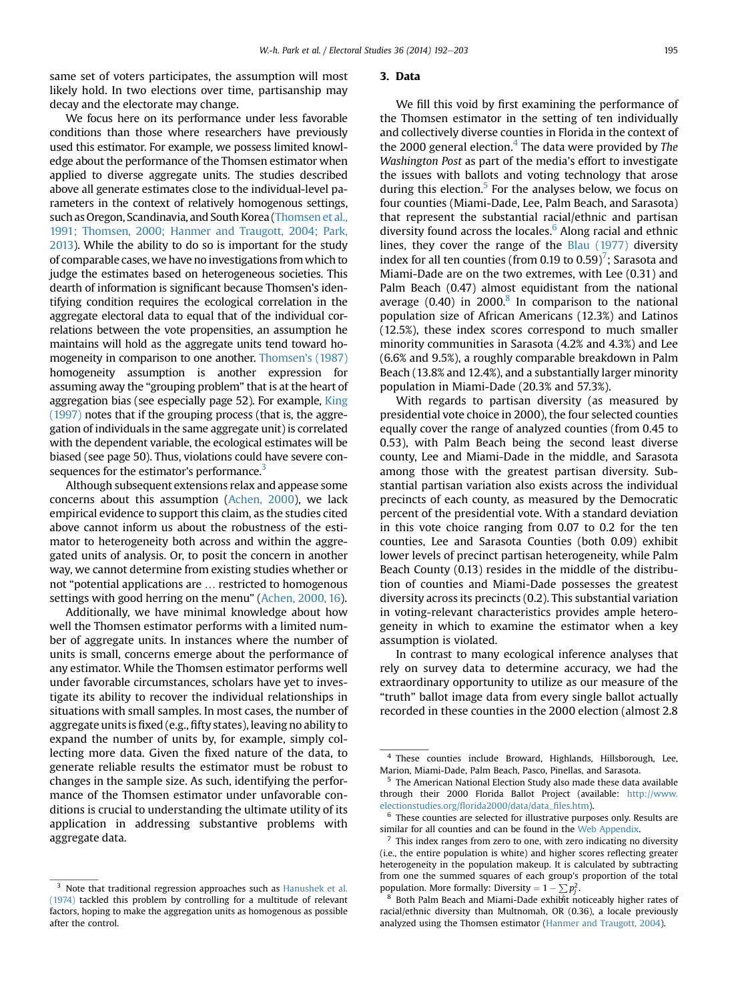same set of voters participates, the assumption will most likely hold. In two elections over time, partisanship may decay and the electorate may change.

We focus here on its performance under less favorable conditions than those where researchers have previously used this estimator. For example, we possess limited knowledge about the performance of the Thomsen estimator when applied to diverse aggregate units. The studies described above all generate estimates close to the individual-level parameters in the context of relatively homogenous settings, such as Oregon, Scandinavia, and South Korea [\(Thomsen et al.,](#page-11-0) [1991; Thomsen, 2000; Hanmer and Traugott, 2004; Park,](#page-11-0) [2013\)](#page-11-0). While the ability to do so is important for the study of comparable cases, we have no investigations from which to judge the estimates based on heterogeneous societies. This dearth of information is significant because Thomsen's identifying condition requires the ecological correlation in the aggregate electoral data to equal that of the individual correlations between the vote propensities, an assumption he maintains will hold as the aggregate units tend toward homogeneity in comparison to one another. [Thomsen's \(1987\)](#page-11-0) homogeneity assumption is another expression for assuming away the "grouping problem" that is at the heart of aggregation bias (see especially page 52). For example, [King](#page-11-0) [\(1997\)](#page-11-0) notes that if the grouping process (that is, the aggregation of individuals in the same aggregate unit) is correlated with the dependent variable, the ecological estimates will be biased (see page 50). Thus, violations could have severe consequences for the estimator's performance.<sup>3</sup>

Although subsequent extensions relax and appease some concerns about this assumption [\(Achen, 2000](#page-10-0)), we lack empirical evidence to support this claim, as the studies cited above cannot inform us about the robustness of the estimator to heterogeneity both across and within the aggregated units of analysis. Or, to posit the concern in another way, we cannot determine from existing studies whether or not "potential applications are … restricted to homogenous settings with good herring on the menu" ([Achen, 2000, 16\)](#page-10-0).

Additionally, we have minimal knowledge about how well the Thomsen estimator performs with a limited number of aggregate units. In instances where the number of units is small, concerns emerge about the performance of any estimator. While the Thomsen estimator performs well under favorable circumstances, scholars have yet to investigate its ability to recover the individual relationships in situations with small samples. In most cases, the number of aggregate units is fixed (e.g., fifty states), leaving no ability to expand the number of units by, for example, simply collecting more data. Given the fixed nature of the data, to generate reliable results the estimator must be robust to changes in the sample size. As such, identifying the performance of the Thomsen estimator under unfavorable conditions is crucial to understanding the ultimate utility of its application in addressing substantive problems with aggregate data.

## 3. Data

We fill this void by first examining the performance of the Thomsen estimator in the setting of ten individually and collectively diverse counties in Florida in the context of the 2000 general election.<sup>4</sup> The data were provided by The Washington Post as part of the media's effort to investigate the issues with ballots and voting technology that arose during this election.<sup>5</sup> For the analyses below, we focus on four counties (Miami-Dade, Lee, Palm Beach, and Sarasota) that represent the substantial racial/ethnic and partisan diversity found across the locales.<sup>6</sup> Along racial and ethnic lines, they cover the range of the [Blau \(1977\)](#page-10-0) diversity index for all ten counties (from 0.19 to 0.59)<sup>7</sup>; Sarasota and Miami-Dade are on the two extremes, with Lee (0.31) and Palm Beach (0.47) almost equidistant from the national average  $(0.40)$  in 2000.<sup>8</sup> In comparison to the national population size of African Americans (12.3%) and Latinos (12.5%), these index scores correspond to much smaller minority communities in Sarasota (4.2% and 4.3%) and Lee (6.6% and 9.5%), a roughly comparable breakdown in Palm Beach (13.8% and 12.4%), and a substantially larger minority population in Miami-Dade (20.3% and 57.3%).

With regards to partisan diversity (as measured by presidential vote choice in 2000), the four selected counties equally cover the range of analyzed counties (from 0.45 to 0.53), with Palm Beach being the second least diverse county, Lee and Miami-Dade in the middle, and Sarasota among those with the greatest partisan diversity. Substantial partisan variation also exists across the individual precincts of each county, as measured by the Democratic percent of the presidential vote. With a standard deviation in this vote choice ranging from 0.07 to 0.2 for the ten counties, Lee and Sarasota Counties (both 0.09) exhibit lower levels of precinct partisan heterogeneity, while Palm Beach County (0.13) resides in the middle of the distribution of counties and Miami-Dade possesses the greatest diversity across its precincts (0.2). This substantial variation in voting-relevant characteristics provides ample heterogeneity in which to examine the estimator when a key assumption is violated.

In contrast to many ecological inference analyses that rely on survey data to determine accuracy, we had the extraordinary opportunity to utilize as our measure of the "truth" ballot image data from every single ballot actually recorded in these counties in the 2000 election (almost 2.8

<sup>&</sup>lt;sup>3</sup> Note that traditional regression approaches such as [Hanushek et al.](#page-11-0) [\(1974\)](#page-11-0) tackled this problem by controlling for a multitude of relevant factors, hoping to make the aggregation units as homogenous as possible after the control.

<sup>4</sup> These counties include Broward, Highlands, Hillsborough, Lee, Marion, Miami-Dade, Palm Beach, Pasco, Pinellas, and Sarasota.

<sup>5</sup> The American National Election Study also made these data available through their 2000 Florida Ballot Project (available: [http://www.](http://www.electionstudies.org/florida2000/data/data_files.htm) electionstudies.org/fl[orida2000/data/data\\_](http://www.electionstudies.org/florida2000/data/data_files.htm)files.htm).

 $6$  These counties are selected for illustrative purposes only. Results are similar for all counties and can be found in the Web Appendix.

 $7$  This index ranges from zero to one, with zero indicating no diversity (i.e., the entire population is white) and higher scores reflecting greater heterogeneity in the population makeup. It is calculated by subtracting from one the summed squares of each group's proportion of the total population. More formally: Diversity  $= 1 - \sum p_j^2$ 

opulation. More formally: Diversity = 1 –  $\sum p_{j}^{2}$ .<br> $^8$  Both Palm Beach and Miami-Dade exhibit noticeably higher rates of racial/ethnic diversity than Multnomah, OR (0.36), a locale previously analyzed using the Thomsen estimator [\(Hanmer and Traugott, 2004](#page-11-0)).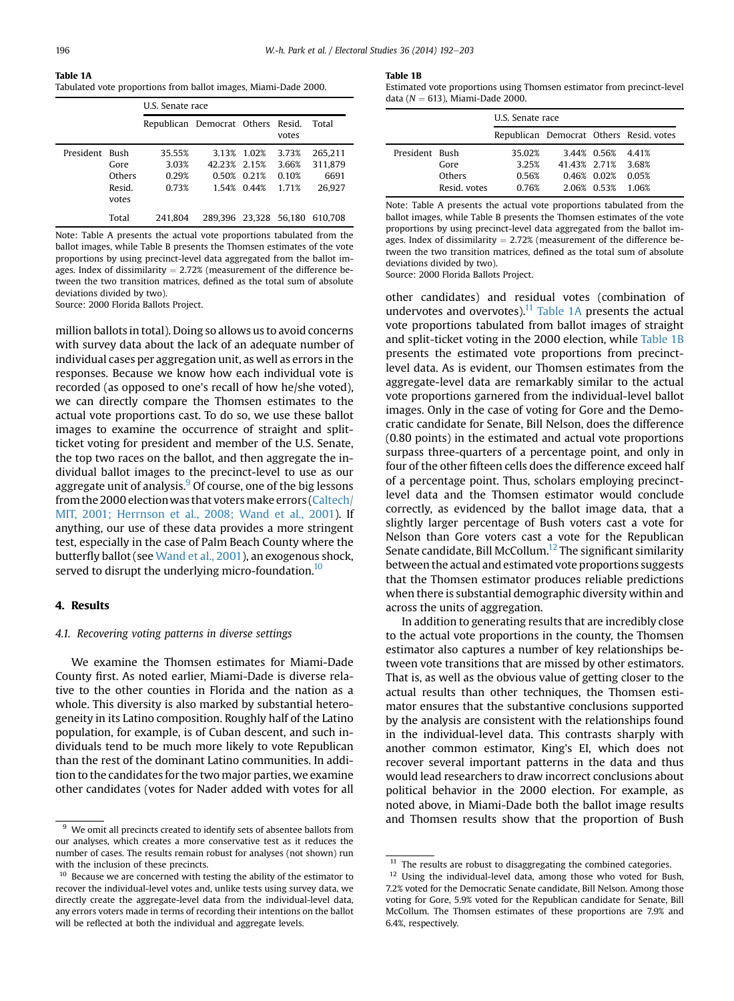Table 1A Tabulated vote proportions from ballot images, Miami-Dade 2000.

|                |                                   | U.S. Senate race                  |              |                                           |                                  |                                      |
|----------------|-----------------------------------|-----------------------------------|--------------|-------------------------------------------|----------------------------------|--------------------------------------|
|                |                                   | Republican Democrat Others Resid. |              |                                           | votes                            | Total                                |
| President Bush | Gore<br>Others<br>Resid.<br>votes | 35.55%<br>3.03%<br>0.29%<br>0.73% | 42.23% 2.15% | 3.13% 1.02%<br>0.50% 0.21%<br>1.54% 0.44% | 3.73%<br>3.66%<br>0.10%<br>1.71% | 265.211<br>311.879<br>6691<br>26.927 |
|                | Total                             | 241.804                           |              |                                           |                                  | 289.396 23.328 56.180 610.708        |

Note: Table A presents the actual vote proportions tabulated from the ballot images, while Table B presents the Thomsen estimates of the vote proportions by using precinct-level data aggregated from the ballot images. Index of dissimilarity  $= 2.72\%$  (measurement of the difference between the two transition matrices, defined as the total sum of absolute deviations divided by two).

Source: 2000 Florida Ballots Project.

million ballots in total). Doing so allows us to avoid concerns with survey data about the lack of an adequate number of individual cases per aggregation unit, as well as errors in the responses. Because we know how each individual vote is recorded (as opposed to one's recall of how he/she voted), we can directly compare the Thomsen estimates to the actual vote proportions cast. To do so, we use these ballot images to examine the occurrence of straight and splitticket voting for president and member of the U.S. Senate, the top two races on the ballot, and then aggregate the individual ballot images to the precinct-level to use as our aggregate unit of analysis. $9$  Of course, one of the big lessons from the 2000 electionwas that voters make errors ([Caltech/](#page-10-0) [MIT, 2001; Herrnson et al., 2008; Wand et al., 2001](#page-10-0)). If anything, our use of these data provides a more stringent test, especially in the case of Palm Beach County where the butterfly ballot (see [Wand et al., 2001\)](#page-11-0), an exogenous shock, served to disrupt the underlying micro-foundation.<sup>10</sup>

## 4. Results

## 4.1. Recovering voting patterns in diverse settings

We examine the Thomsen estimates for Miami-Dade County first. As noted earlier, Miami-Dade is diverse relative to the other counties in Florida and the nation as a whole. This diversity is also marked by substantial heterogeneity in its Latino composition. Roughly half of the Latino population, for example, is of Cuban descent, and such individuals tend to be much more likely to vote Republican than the rest of the dominant Latino communities. In addition to the candidates for the two major parties, we examine other candidates (votes for Nader added with votes for all Table 1B

Estimated vote proportions using Thomsen estimator from precinct-level data ( $N = 613$ ), Miami-Dade 2000.

|                |              | U.S. Senate race                        |                    |                   |         |  |
|----------------|--------------|-----------------------------------------|--------------------|-------------------|---------|--|
|                |              | Republican Democrat Others Resid, votes |                    |                   |         |  |
| President Bush | Gore         | 35.02%<br>3.25%                         | 41.43% 2.71% 3.68% | 3.44% 0.56% 4.41% |         |  |
|                | Others       | 0.56%                                   |                    | 0.46% 0.02%       | 0.05%   |  |
|                | Resid, votes | 0.76%                                   |                    | 2.06% 0.53%       | - 1 06% |  |

Note: Table A presents the actual vote proportions tabulated from the ballot images, while Table B presents the Thomsen estimates of the vote proportions by using precinct-level data aggregated from the ballot images. Index of dissimilarity  $= 2.72\%$  (measurement of the difference between the two transition matrices, defined as the total sum of absolute deviations divided by two).

Source: 2000 Florida Ballots Project.

other candidates) and residual votes (combination of undervotes and overvotes). $11$  Table 1A presents the actual vote proportions tabulated from ballot images of straight and split-ticket voting in the 2000 election, while Table 1B presents the estimated vote proportions from precinctlevel data. As is evident, our Thomsen estimates from the aggregate-level data are remarkably similar to the actual vote proportions garnered from the individual-level ballot images. Only in the case of voting for Gore and the Democratic candidate for Senate, Bill Nelson, does the difference (0.80 points) in the estimated and actual vote proportions surpass three-quarters of a percentage point, and only in four of the other fifteen cells does the difference exceed half of a percentage point. Thus, scholars employing precinctlevel data and the Thomsen estimator would conclude correctly, as evidenced by the ballot image data, that a slightly larger percentage of Bush voters cast a vote for Nelson than Gore voters cast a vote for the Republican Senate candidate, Bill McCollum.<sup>12</sup> The significant similarity between the actual and estimated vote proportions suggests that the Thomsen estimator produces reliable predictions when there is substantial demographic diversity within and across the units of aggregation.

In addition to generating results that are incredibly close to the actual vote proportions in the county, the Thomsen estimator also captures a number of key relationships between vote transitions that are missed by other estimators. That is, as well as the obvious value of getting closer to the actual results than other techniques, the Thomsen estimator ensures that the substantive conclusions supported by the analysis are consistent with the relationships found in the individual-level data. This contrasts sharply with another common estimator, King's EI, which does not recover several important patterns in the data and thus would lead researchers to draw incorrect conclusions about political behavior in the 2000 election. For example, as noted above, in Miami-Dade both the ballot image results and Thomsen results show that the proportion of Bush

 $9\,$  We omit all precincts created to identify sets of absentee ballots from our analyses, which creates a more conservative test as it reduces the number of cases. The results remain robust for analyses (not shown) run with the inclusion of these precincts.

 $10<sup>10</sup>$  Because we are concerned with testing the ability of the estimator to recover the individual-level votes and, unlike tests using survey data, we directly create the aggregate-level data from the individual-level data, any errors voters made in terms of recording their intentions on the ballot will be reflected at both the individual and aggregate levels.

 $11$  The results are robust to disaggregating the combined categories.

 $12$  Using the individual-level data, among those who voted for Bush, 7.2% voted for the Democratic Senate candidate, Bill Nelson. Among those voting for Gore, 5.9% voted for the Republican candidate for Senate, Bill McCollum. The Thomsen estimates of these proportions are 7.9% and 6.4%, respectively.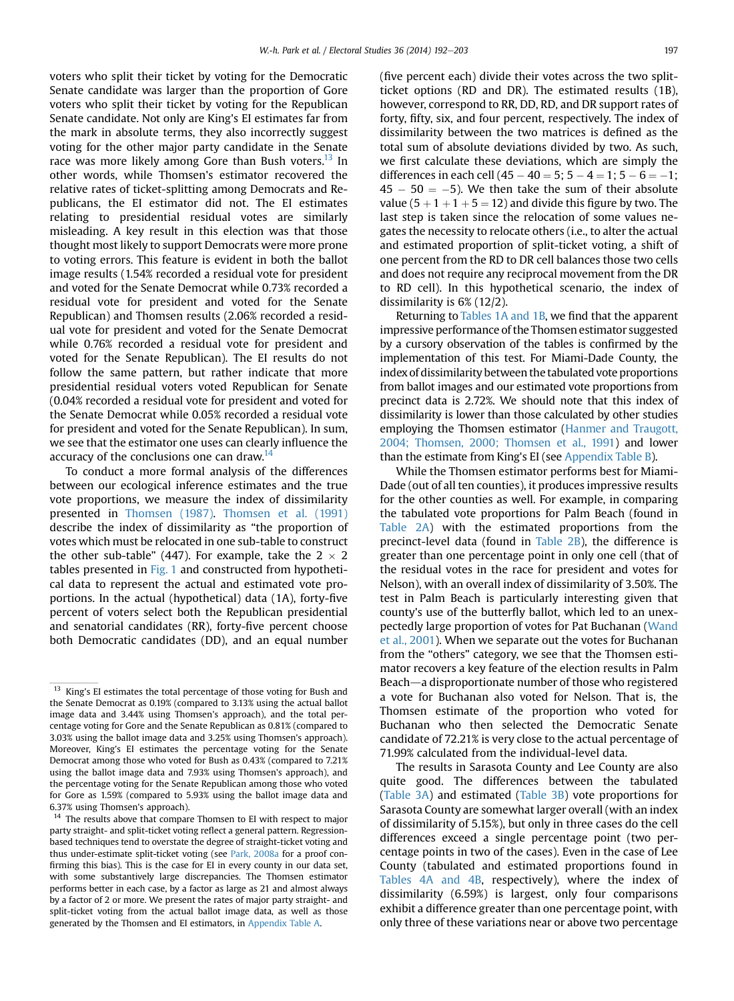voters who split their ticket by voting for the Democratic Senate candidate was larger than the proportion of Gore voters who split their ticket by voting for the Republican Senate candidate. Not only are King's EI estimates far from the mark in absolute terms, they also incorrectly suggest voting for the other major party candidate in the Senate race was more likely among Gore than Bush voters.<sup>13</sup> In other words, while Thomsen's estimator recovered the relative rates of ticket-splitting among Democrats and Republicans, the EI estimator did not. The EI estimates relating to presidential residual votes are similarly misleading. A key result in this election was that those thought most likely to support Democrats were more prone to voting errors. This feature is evident in both the ballot image results (1.54% recorded a residual vote for president and voted for the Senate Democrat while 0.73% recorded a residual vote for president and voted for the Senate Republican) and Thomsen results (2.06% recorded a residual vote for president and voted for the Senate Democrat while 0.76% recorded a residual vote for president and voted for the Senate Republican). The EI results do not follow the same pattern, but rather indicate that more presidential residual voters voted Republican for Senate (0.04% recorded a residual vote for president and voted for the Senate Democrat while 0.05% recorded a residual vote for president and voted for the Senate Republican). In sum, we see that the estimator one uses can clearly influence the accuracy of the conclusions one can draw.<sup>14</sup>

To conduct a more formal analysis of the differences between our ecological inference estimates and the true vote proportions, we measure the index of dissimilarity presented in [Thomsen \(1987\)](#page-11-0). [Thomsen et al. \(1991\)](#page-11-0) describe the index of dissimilarity as "the proportion of votes which must be relocated in one sub-table to construct the other sub-table" (447). For example, take the  $2 \times 2$ tables presented in [Fig. 1](#page-6-0) and constructed from hypothetical data to represent the actual and estimated vote proportions. In the actual (hypothetical) data (1A), forty-five percent of voters select both the Republican presidential and senatorial candidates (RR), forty-five percent choose both Democratic candidates (DD), and an equal number (five percent each) divide their votes across the two splitticket options (RD and DR). The estimated results (1B), however, correspond to RR, DD, RD, and DR support rates of forty, fifty, six, and four percent, respectively. The index of dissimilarity between the two matrices is defined as the total sum of absolute deviations divided by two. As such, we first calculate these deviations, which are simply the differences in each cell  $(45 - 40 = 5; 5 - 4 = 1; 5 - 6 = -1;$  $45 - 50 = -5$ ). We then take the sum of their absolute value (5  $+$  1  $+$  1  $+$  5  $=$  12) and divide this figure by two. The last step is taken since the relocation of some values negates the necessity to relocate others (i.e., to alter the actual and estimated proportion of split-ticket voting, a shift of one percent from the RD to DR cell balances those two cells and does not require any reciprocal movement from the DR to RD cell). In this hypothetical scenario, the index of dissimilarity is 6% (12/2).

Returning to Tables 1A and 1B, we find that the apparent impressive performance of the Thomsen estimator suggested by a cursory observation of the tables is confirmed by the implementation of this test. For Miami-Dade County, the index of dissimilarity between the tabulated vote proportions from ballot images and our estimated vote proportions from precinct data is 2.72%. We should note that this index of dissimilarity is lower than those calculated by other studies employing the Thomsen estimator [\(Hanmer and Traugott,](#page-11-0) [2004; Thomsen, 2000; Thomsen et al., 1991](#page-11-0)) and lower than the estimate from King's EI (see Appendix Table B).

While the Thomsen estimator performs best for Miami-Dade (out of all ten counties), it produces impressive results for the other counties as well. For example, in comparing the tabulated vote proportions for Palm Beach (found in Table 2A) with the estimated proportions from the precinct-level data (found in Table 2B), the difference is greater than one percentage point in only one cell (that of the residual votes in the race for president and votes for Nelson), with an overall index of dissimilarity of 3.50%. The test in Palm Beach is particularly interesting given that county's use of the butterfly ballot, which led to an unexpectedly large proportion of votes for Pat Buchanan ([Wand](#page-11-0) [et al., 2001\)](#page-11-0). When we separate out the votes for Buchanan from the "others" category, we see that the Thomsen estimator recovers a key feature of the election results in Palm Beach—a disproportionate number of those who registered a vote for Buchanan also voted for Nelson. That is, the Thomsen estimate of the proportion who voted for Buchanan who then selected the Democratic Senate candidate of 72.21% is very close to the actual percentage of 71.99% calculated from the individual-level data.

The results in Sarasota County and Lee County are also quite good. The differences between the tabulated (Table 3A) and estimated (Table 3B) vote proportions for Sarasota County are somewhat larger overall (with an index of dissimilarity of 5.15%), but only in three cases do the cell differences exceed a single percentage point (two percentage points in two of the cases). Even in the case of Lee County (tabulated and estimated proportions found in Tables 4A and 4B, respectively), where the index of dissimilarity (6.59%) is largest, only four comparisons exhibit a difference greater than one percentage point, with only three of these variations near or above two percentage

<sup>&</sup>lt;sup>13</sup> King's EI estimates the total percentage of those voting for Bush and the Senate Democrat as 0.19% (compared to 3.13% using the actual ballot image data and 3.44% using Thomsen's approach), and the total percentage voting for Gore and the Senate Republican as 0.81% (compared to 3.03% using the ballot image data and 3.25% using Thomsen's approach). Moreover, King's EI estimates the percentage voting for the Senate Democrat among those who voted for Bush as 0.43% (compared to 7.21% using the ballot image data and 7.93% using Thomsen's approach), and the percentage voting for the Senate Republican among those who voted for Gore as 1.59% (compared to 5.93% using the ballot image data and 6.37% using Thomsen's approach).

<sup>&</sup>lt;sup>14</sup> The results above that compare Thomsen to EI with respect to major party straight- and split-ticket voting reflect a general pattern. Regressionbased techniques tend to overstate the degree of straight-ticket voting and thus under-estimate split-ticket voting (see [Park, 2008a](#page-11-0) for a proof confirming this bias). This is the case for EI in every county in our data set, with some substantively large discrepancies. The Thomsen estimator performs better in each case, by a factor as large as 21 and almost always by a factor of 2 or more. We present the rates of major party straight- and split-ticket voting from the actual ballot image data, as well as those generated by the Thomsen and EI estimators, in Appendix Table A.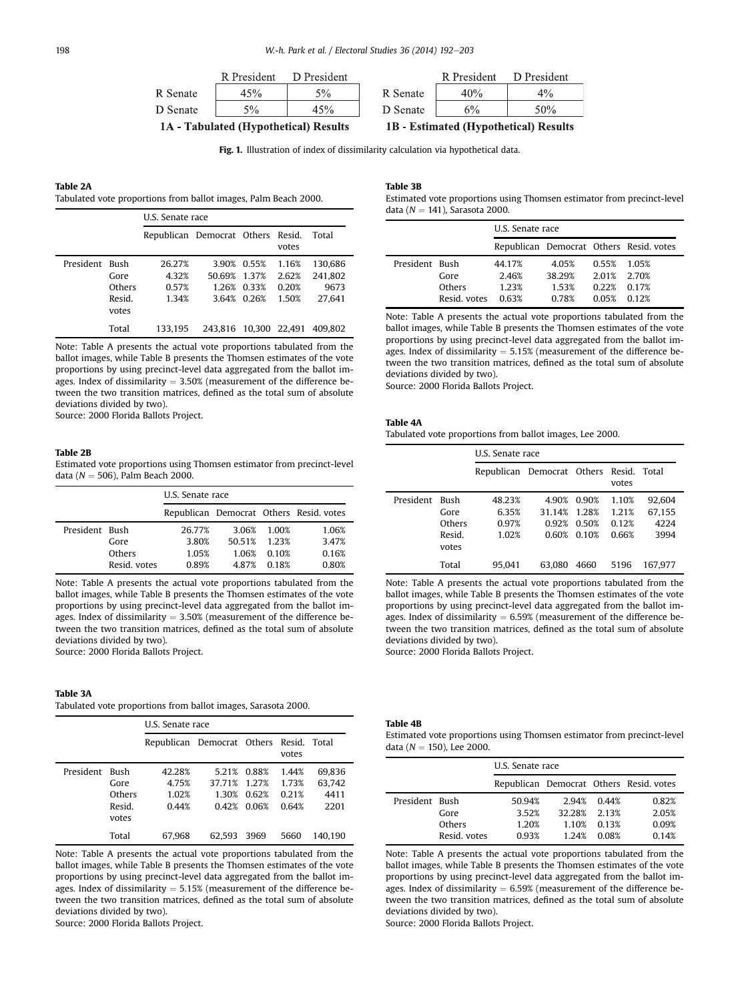<span id="page-6-0"></span>

|          | R President | D President |
|----------|-------------|-------------|
| R Senate | 45%         | 5%          |
| D Senate | $5\%$       |             |

1A - Tabulated (Hypothetical) Results

R President D President R Senate 40%  $4%$ D Senate  $6%$ 50%

**1B** - Estimated (Hypothetical) Results

Fig. 1. Illustration of index of dissimilarity calculation via hypothetical data.

## Table 2A

Tabulated vote proportions from ballot images, Palm Beach 2000.

|                |                                   | U.S. Senate race                  |                       |                                           |                                  |                                      |
|----------------|-----------------------------------|-----------------------------------|-----------------------|-------------------------------------------|----------------------------------|--------------------------------------|
|                |                                   | Republican Democrat Others Resid. |                       |                                           | votes                            | Total                                |
| President Bush | Gore<br>Others<br>Resid.<br>votes | 26.27%<br>4.32%<br>0.57%<br>1.34% | 50.69% 1.37%          | 3.90% 0.55%<br>1.26% 0.33%<br>3.64% 0.26% | 1.16%<br>2.62%<br>0.20%<br>1.50% | 130.686<br>241.802<br>9673<br>27.641 |
|                | Total                             | 133.195                           | 243.816 10.300 22.491 |                                           |                                  | 409.802                              |

Note: Table A presents the actual vote proportions tabulated from the ballot images, while Table B presents the Thomsen estimates of the vote proportions by using precinct-level data aggregated from the ballot images. Index of dissimilarity  $= 3.50\%$  (measurement of the difference between the two transition matrices, defined as the total sum of absolute deviations divided by two).

Source: 2000 Florida Ballots Project.

#### Table 2B

Estimated vote proportions using Thomsen estimator from precinct-level data ( $N = 506$ ), Palm Beach 2000.

|                |              | U.S. Senate race                        |        |        |       |  |  |
|----------------|--------------|-----------------------------------------|--------|--------|-------|--|--|
|                |              | Republican Democrat Others Resid. votes |        |        |       |  |  |
| President Bush |              | 26.77%                                  | 3.06%  | 1.00%  | 1.06% |  |  |
|                | Gore         | 3.80%                                   | 50.51% | 1 2 3% | 3.47% |  |  |
|                | Others       | 1.05%                                   | 1.06%  | 0.10%  | 0.16% |  |  |
|                | Resid, votes | 0.89%                                   | 487%   | 0.18%  | 0.80% |  |  |

Note: Table A presents the actual vote proportions tabulated from the ballot images, while Table B presents the Thomsen estimates of the vote proportions by using precinct-level data aggregated from the ballot images. Index of dissimilarity  $= 3.50\%$  (measurement of the difference between the two transition matrices, defined as the total sum of absolute deviations divided by two). Source: 2000 Florida Ballots Project.

#### Table 3A

Tabulated vote proportions from ballot images, Sarasota 2000.

|           |                                                  | U.S. Senate race                        |                                   |                                  |                                  |                                  |
|-----------|--------------------------------------------------|-----------------------------------------|-----------------------------------|----------------------------------|----------------------------------|----------------------------------|
|           |                                                  | Republican Democrat Others Resid. Total |                                   |                                  | votes                            |                                  |
| President | <b>Bush</b><br>Gore<br>Others<br>Resid.<br>votes | 42.28%<br>4.75%<br>1.02%<br>0.44%       | 5.21%<br>37.71%<br>1.30%<br>0.42% | 0.88%<br>1.27%<br>0.62%<br>0.06% | 1.44%<br>1.73%<br>0.21%<br>0.64% | 69.836<br>63.742<br>4411<br>2201 |
|           | Total                                            | 67.968                                  | 62.593                            | 3969                             | 5660                             | 140.190                          |

Note: Table A presents the actual vote proportions tabulated from the ballot images, while Table B presents the Thomsen estimates of the vote proportions by using precinct-level data aggregated from the ballot images. Index of dissimilarity  $= 5.15\%$  (measurement of the difference between the two transition matrices, defined as the total sum of absolute deviations divided by two).

Source: 2000 Florida Ballots Project.

Estimated vote proportions using Thomsen estimator from precinct-level data ( $N = 141$ ), Sarasota 2000.

|                |              | U.S. Senate race |        |       |                                         |  |
|----------------|--------------|------------------|--------|-------|-----------------------------------------|--|
|                |              |                  |        |       | Republican Democrat Others Resid, votes |  |
| President Bush |              | 44.17%           | 4.05%  | 0.55% | 1 05%                                   |  |
|                | Gore         | 2.46%            | 38 29% | 2.01% | 2.70%                                   |  |
|                | Others       | 1 23%            | 153%   | 0.22% | 0.17%                                   |  |
|                | Resid, votes | 0.63%            | 0.78%  | 0.05% | 0.12%                                   |  |

Note: Table A presents the actual vote proportions tabulated from the ballot images, while Table B presents the Thomsen estimates of the vote proportions by using precinct-level data aggregated from the ballot images. Index of dissimilarity  $= 5.15\%$  (measurement of the difference between the two transition matrices, defined as the total sum of absolute deviations divided by two).

Source: 2000 Florida Ballots Project.

#### Table 4A

Tabulated vote proportions from ballot images, Lee 2000.

|           |                                                  | U.S. Senate race                        |                                   |                                  |                                  |                                  |
|-----------|--------------------------------------------------|-----------------------------------------|-----------------------------------|----------------------------------|----------------------------------|----------------------------------|
|           |                                                  | Republican Democrat Others Resid. Total |                                   |                                  | votes                            |                                  |
| President | <b>Bush</b><br>Gore<br>Others<br>Resid.<br>votes | 48.23%<br>6.35%<br>0.97%<br>1.02%       | 4.90%<br>31.14%<br>0.92%<br>0.60% | 0.90%<br>1 28%<br>0.50%<br>0.10% | 1.10%<br>1.21%<br>0.12%<br>0.66% | 92.604<br>67.155<br>4224<br>3994 |
|           | Total                                            | 95.041                                  | 63.080                            | 4660                             | 5196                             | 167.977                          |

Note: Table A presents the actual vote proportions tabulated from the ballot images, while Table B presents the Thomsen estimates of the vote proportions by using precinct-level data aggregated from the ballot images. Index of dissimilarity  $= 6.59%$  (measurement of the difference between the two transition matrices, defined as the total sum of absolute deviations divided by two).

Source: 2000 Florida Ballots Project.

#### Table 4B

Estimated vote proportions using Thomsen estimator from precinct-level data ( $N = 150$ ), Lee 2000.

|                |              | U.S. Senate race                        |        |       |       |  |
|----------------|--------------|-----------------------------------------|--------|-------|-------|--|
|                |              | Republican Democrat Others Resid. votes |        |       |       |  |
| President Bush |              | 50.94%                                  | 2.94%  | 0.44% | 0.82% |  |
|                | Gore         | 3.52%                                   | 32.28% | 2.13% | 2.05% |  |
|                | Others       | 1.20%                                   | 1.10%  | 0.13% | 0.09% |  |
|                | Resid, votes | 0.93%                                   | 1 2 4% | 0.08% | 0.14% |  |

Note: Table A presents the actual vote proportions tabulated from the ballot images, while Table B presents the Thomsen estimates of the vote proportions by using precinct-level data aggregated from the ballot images. Index of dissimilarity  $= 6.59\%$  (measurement of the difference between the two transition matrices, defined as the total sum of absolute deviations divided by two).

Source: 2000 Florida Ballots Project.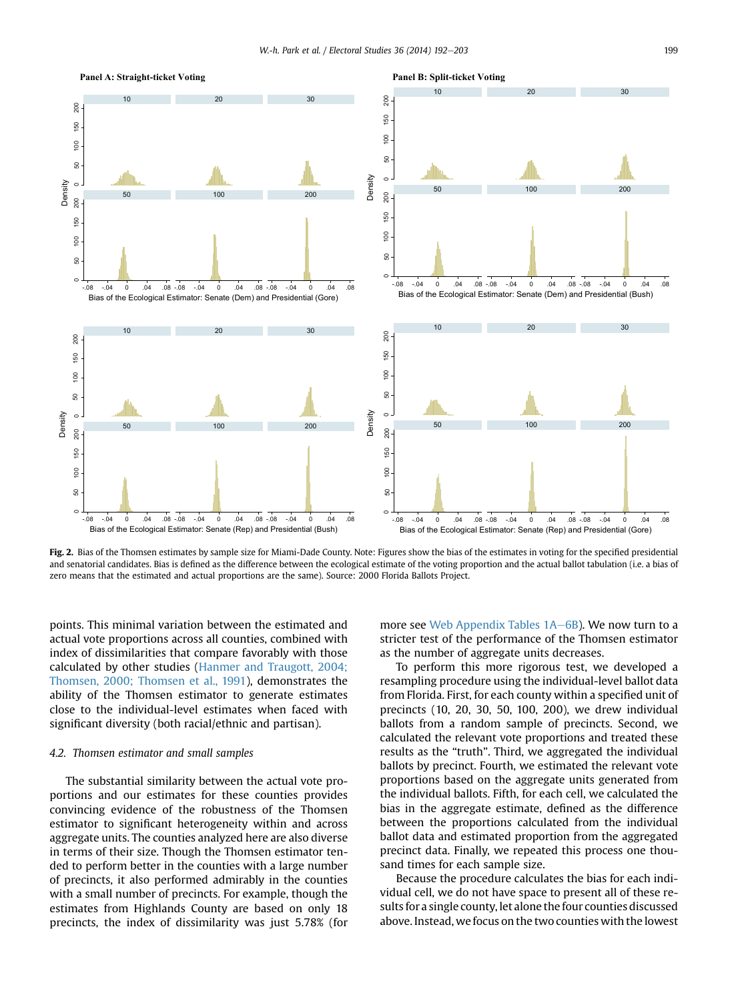<span id="page-7-0"></span>

Fig. 2. Bias of the Thomsen estimates by sample size for Miami-Dade County. Note: Figures show the bias of the estimates in voting for the specified presidential and senatorial candidates. Bias is defined as the difference between the ecological estimate of the voting proportion and the actual ballot tabulation (i.e. a bias of zero means that the estimated and actual proportions are the same). Source: 2000 Florida Ballots Project.

points. This minimal variation between the estimated and actual vote proportions across all counties, combined with index of dissimilarities that compare favorably with those calculated by other studies [\(Hanmer and Traugott, 2004;](#page-11-0) [Thomsen, 2000; Thomsen et al., 1991\)](#page-11-0), demonstrates the ability of the Thomsen estimator to generate estimates close to the individual-level estimates when faced with significant diversity (both racial/ethnic and partisan).

## 4.2. Thomsen estimator and small samples

The substantial similarity between the actual vote proportions and our estimates for these counties provides convincing evidence of the robustness of the Thomsen estimator to significant heterogeneity within and across aggregate units. The counties analyzed here are also diverse in terms of their size. Though the Thomsen estimator tended to perform better in the counties with a large number of precincts, it also performed admirably in the counties with a small number of precincts. For example, though the estimates from Highlands County are based on only 18 precincts, the index of dissimilarity was just 5.78% (for more see Web Appendix Tables 1A-6B). We now turn to a stricter test of the performance of the Thomsen estimator as the number of aggregate units decreases.

To perform this more rigorous test, we developed a resampling procedure using the individual-level ballot data from Florida. First, for each county within a specified unit of precincts (10, 20, 30, 50, 100, 200), we drew individual ballots from a random sample of precincts. Second, we calculated the relevant vote proportions and treated these results as the "truth". Third, we aggregated the individual ballots by precinct. Fourth, we estimated the relevant vote proportions based on the aggregate units generated from the individual ballots. Fifth, for each cell, we calculated the bias in the aggregate estimate, defined as the difference between the proportions calculated from the individual ballot data and estimated proportion from the aggregated precinct data. Finally, we repeated this process one thousand times for each sample size.

Because the procedure calculates the bias for each individual cell, we do not have space to present all of these results for a single county, let alone the four counties discussed above. Instead, we focus on the two counties with the lowest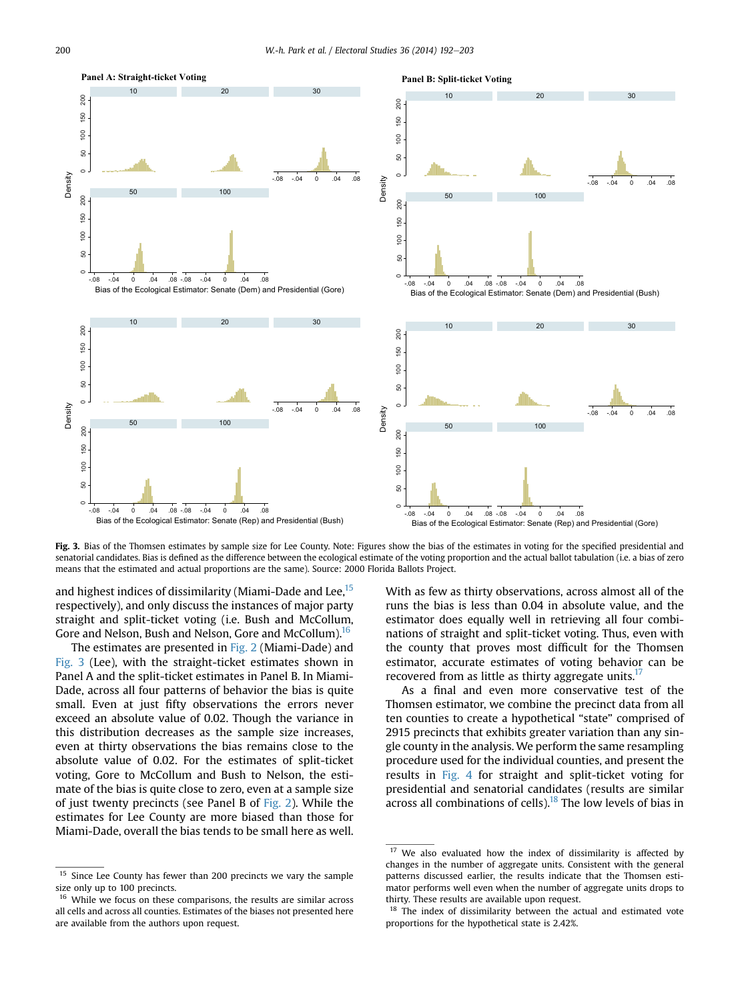

Fig. 3. Bias of the Thomsen estimates by sample size for Lee County. Note: Figures show the bias of the estimates in voting for the specified presidential and senatorial candidates. Bias is defined as the difference between the ecological estimate of the voting proportion and the actual ballot tabulation (i.e. a bias of zero means that the estimated and actual proportions are the same). Source: 2000 Florida Ballots Project.

and highest indices of dissimilarity (Miami-Dade and Lee,<sup>15</sup> respectively), and only discuss the instances of major party straight and split-ticket voting (i.e. Bush and McCollum, Gore and Nelson, Bush and Nelson, Gore and McCollum).<sup>16</sup>

The estimates are presented in [Fig. 2](#page-7-0) (Miami-Dade) and Fig. 3 (Lee), with the straight-ticket estimates shown in Panel A and the split-ticket estimates in Panel B. In Miami-Dade, across all four patterns of behavior the bias is quite small. Even at just fifty observations the errors never exceed an absolute value of 0.02. Though the variance in this distribution decreases as the sample size increases, even at thirty observations the bias remains close to the absolute value of 0.02. For the estimates of split-ticket voting, Gore to McCollum and Bush to Nelson, the estimate of the bias is quite close to zero, even at a sample size of just twenty precincts (see Panel B of [Fig. 2](#page-7-0)). While the estimates for Lee County are more biased than those for Miami-Dade, overall the bias tends to be small here as well.

With as few as thirty observations, across almost all of the runs the bias is less than 0.04 in absolute value, and the estimator does equally well in retrieving all four combinations of straight and split-ticket voting. Thus, even with the county that proves most difficult for the Thomsen estimator, accurate estimates of voting behavior can be recovered from as little as thirty aggregate units.<sup>17</sup>

As a final and even more conservative test of the Thomsen estimator, we combine the precinct data from all ten counties to create a hypothetical "state" comprised of 2915 precincts that exhibits greater variation than any single county in the analysis. We perform the same resampling procedure used for the individual counties, and present the results in [Fig. 4](#page-9-0) for straight and split-ticket voting for presidential and senatorial candidates (results are similar across all combinations of cells). $18$  The low levels of bias in

Since Lee County has fewer than 200 precincts we vary the sample size only up to 100 precincts.

While we focus on these comparisons, the results are similar across all cells and across all counties. Estimates of the biases not presented here are available from the authors upon request.

<sup>&</sup>lt;sup>17</sup> We also evaluated how the index of dissimilarity is affected by changes in the number of aggregate units. Consistent with the general patterns discussed earlier, the results indicate that the Thomsen estimator performs well even when the number of aggregate units drops to thirty. These results are available upon request.

<sup>&</sup>lt;sup>18</sup> The index of dissimilarity between the actual and estimated vote proportions for the hypothetical state is 2.42%.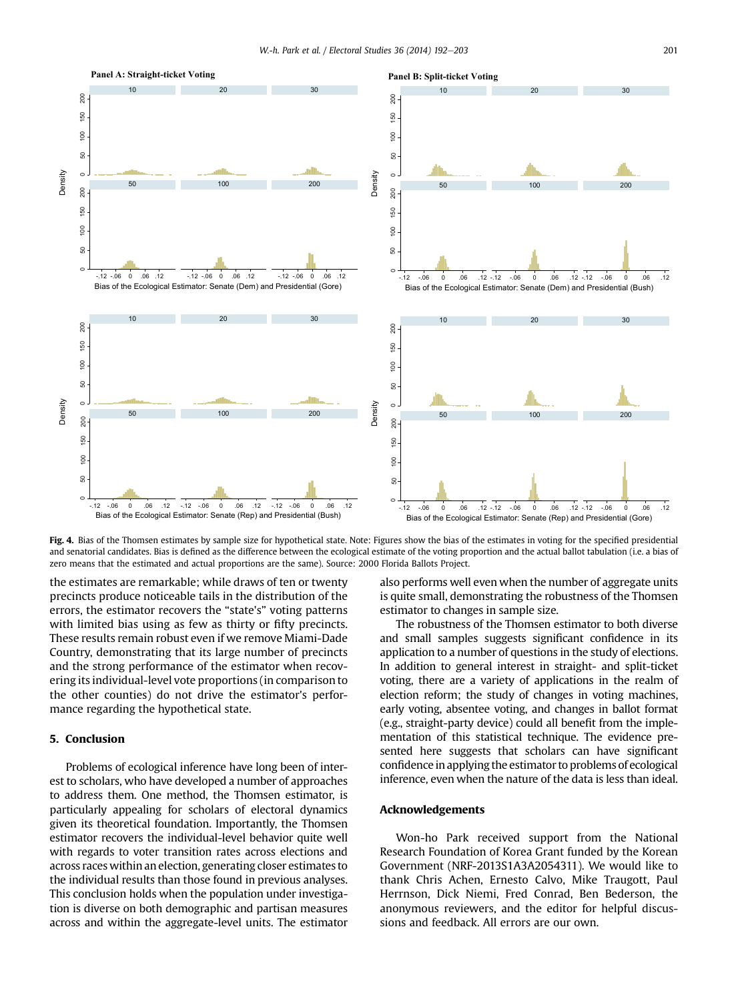<span id="page-9-0"></span>

Fig. 4. Bias of the Thomsen estimates by sample size for hypothetical state. Note: Figures show the bias of the estimates in voting for the specified presidential and senatorial candidates. Bias is defined as the difference between the ecological estimate of the voting proportion and the actual ballot tabulation (i.e. a bias of zero means that the estimated and actual proportions are the same). Source: 2000 Florida Ballots Project.

the estimates are remarkable; while draws of ten or twenty precincts produce noticeable tails in the distribution of the errors, the estimator recovers the "state's" voting patterns with limited bias using as few as thirty or fifty precincts. These results remain robust even if we remove Miami-Dade Country, demonstrating that its large number of precincts and the strong performance of the estimator when recovering its individual-level vote proportions (in comparison to the other counties) do not drive the estimator's performance regarding the hypothetical state.

## 5. Conclusion

Problems of ecological inference have long been of interest to scholars, who have developed a number of approaches to address them. One method, the Thomsen estimator, is particularly appealing for scholars of electoral dynamics given its theoretical foundation. Importantly, the Thomsen estimator recovers the individual-level behavior quite well with regards to voter transition rates across elections and across races within an election, generating closer estimates to the individual results than those found in previous analyses. This conclusion holds when the population under investigation is diverse on both demographic and partisan measures across and within the aggregate-level units. The estimator

also performs well even when the number of aggregate units is quite small, demonstrating the robustness of the Thomsen estimator to changes in sample size.

The robustness of the Thomsen estimator to both diverse and small samples suggests significant confidence in its application to a number of questions in the study of elections. In addition to general interest in straight- and split-ticket voting, there are a variety of applications in the realm of election reform; the study of changes in voting machines, early voting, absentee voting, and changes in ballot format (e.g., straight-party device) could all benefit from the implementation of this statistical technique. The evidence presented here suggests that scholars can have significant confidence in applying the estimator to problems of ecological inference, even when the nature of the data is less than ideal.

### Acknowledgements

Won-ho Park received support from the National Research Foundation of Korea Grant funded by the Korean Government (NRF-2013S1A3A2054311). We would like to thank Chris Achen, Ernesto Calvo, Mike Traugott, Paul Herrnson, Dick Niemi, Fred Conrad, Ben Bederson, the anonymous reviewers, and the editor for helpful discussions and feedback. All errors are our own.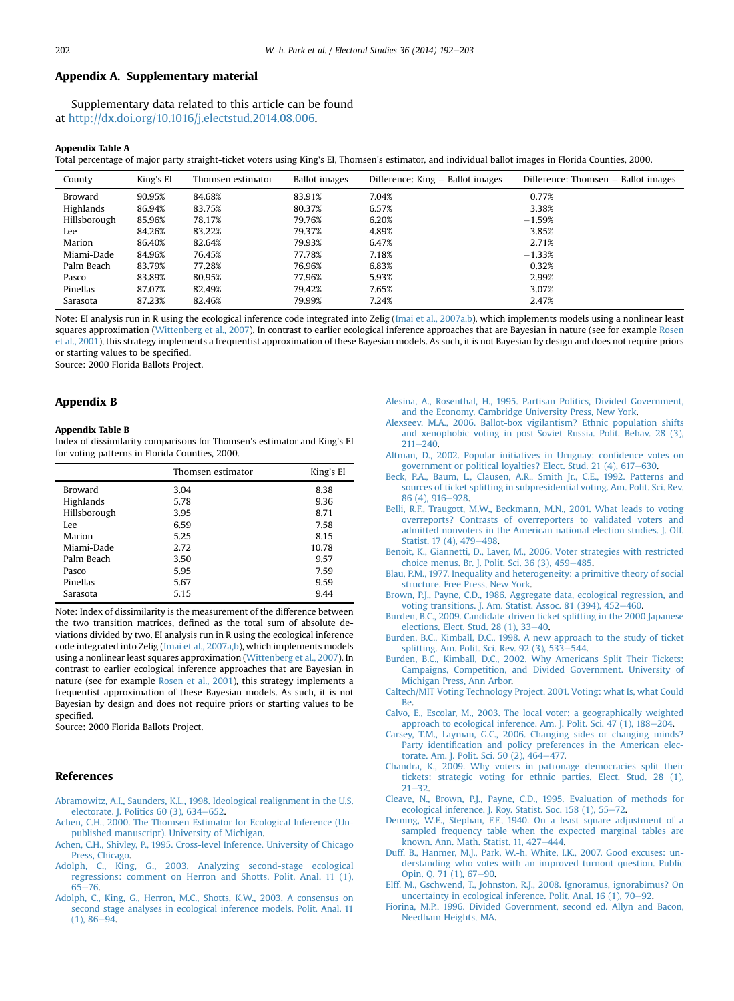## <span id="page-10-0"></span>Appendix A. Supplementary material

Supplementary data related to this article can be found at <http://dx.doi.org/10.1016/j.electstud.2014.08.006>.

#### Appendix Table A

Total percentage of major party straight-ticket voters using King's EI, Thomsen's estimator, and individual ballot images in Florida Counties, 2000.

| County       | King's EI | Thomsen estimator | <b>Ballot</b> images | Difference: King - Ballot images | Difference: Thomsen - Ballot images |
|--------------|-----------|-------------------|----------------------|----------------------------------|-------------------------------------|
| Broward      | 90.95%    | 84.68%            | 83.91%               | 7.04%                            | 0.77%                               |
| Highlands    | 86.94%    | 83.75%            | 80.37%               | 6.57%                            | 3.38%                               |
| Hillsborough | 85.96%    | 78.17%            | 79.76%               | 6.20%                            | $-1.59%$                            |
| Lee          | 84.26%    | 83.22%            | 79.37%               | 4.89%                            | 3.85%                               |
| Marion       | 86.40%    | 82.64%            | 79.93%               | 6.47%                            | 2.71%                               |
| Miami-Dade   | 84.96%    | 76.45%            | 77.78%               | 7.18%                            | $-1.33%$                            |
| Palm Beach   | 83.79%    | 77.28%            | 76.96%               | 6.83%                            | 0.32%                               |
| Pasco        | 83.89%    | 80.95%            | 77.96%               | 5.93%                            | 2.99%                               |
| Pinellas     | 87.07%    | 82.49%            | 79.42%               | 7.65%                            | 3.07%                               |
| Sarasota     | 87.23%    | 82.46%            | 79.99%               | 7.24%                            | 2.47%                               |

Note: EI analysis run in R using the ecological inference code integrated into Zelig [\(Imai et al., 2007a,b](#page-11-0)), which implements models using a nonlinear least squares approximation [\(Wittenberg et al., 2007](#page-11-0)). In contrast to earlier ecological inference approaches that are Bayesian in nature (see for example [Rosen](#page-11-0) [et al., 2001](#page-11-0)), this strategy implements a frequentist approximation of these Bayesian models. As such, it is not Bayesian by design and does not require priors or starting values to be specified.

Source: 2000 Florida Ballots Project.

## Appendix B

#### Appendix Table B

Index of dissimilarity comparisons for Thomsen's estimator and King's EI for voting patterns in Florida Counties, 2000.

|              | Thomsen estimator | King's EI |
|--------------|-------------------|-----------|
| Broward      | 3.04              | 8.38      |
| Highlands    | 5.78              | 9.36      |
| Hillsborough | 3.95              | 8.71      |
| Lee          | 6.59              | 7.58      |
| Marion       | 5.25              | 8.15      |
| Miami-Dade   | 2.72              | 10.78     |
| Palm Beach   | 3.50              | 9.57      |
| Pasco        | 5.95              | 7.59      |
| Pinellas     | 5.67              | 9.59      |
| Sarasota     | 5.15              | 9.44      |

Note: Index of dissimilarity is the measurement of the difference between the two transition matrices, defined as the total sum of absolute deviations divided by two. EI analysis run in R using the ecological inference code integrated into Zelig [\(Imai et al., 2007a,b](#page-11-0)), which implements models using a nonlinear least squares approximation ([Wittenberg et al., 2007\)](#page-11-0). In contrast to earlier ecological inference approaches that are Bayesian in nature (see for example [Rosen et al., 2001\)](#page-11-0), this strategy implements a frequentist approximation of these Bayesian models. As such, it is not Bayesian by design and does not require priors or starting values to be specified.

Source: 2000 Florida Ballots Project.

## References

- [Abramowitz, A.I., Saunders, K.L., 1998. Ideological realignment in the U.S.](http://refhub.elsevier.com/S0261-3794(14)00095-X/sref1) electorate. I. Politics  $60(3)$ ,  $634-652$  $634-652$ .
- [Achen, C.H., 2000. The Thomsen Estimator for Ecological Inference \(Un](http://refhub.elsevier.com/S0261-3794(14)00095-X/sref2)[published manuscript\). University of Michigan.](http://refhub.elsevier.com/S0261-3794(14)00095-X/sref2)
- [Achen, C.H., Shivley, P., 1995. Cross-level Inference. University of Chicago](http://refhub.elsevier.com/S0261-3794(14)00095-X/sref3) [Press, Chicago](http://refhub.elsevier.com/S0261-3794(14)00095-X/sref3).
- [Adolph, C., King, G., 2003. Analyzing second-stage ecological](http://refhub.elsevier.com/S0261-3794(14)00095-X/sref4) [regressions: comment on Herron and Shotts. Polit. Anal. 11 \(1\),](http://refhub.elsevier.com/S0261-3794(14)00095-X/sref4) [65](http://refhub.elsevier.com/S0261-3794(14)00095-X/sref4)-[76](http://refhub.elsevier.com/S0261-3794(14)00095-X/sref4).
- [Adolph, C., King, G., Herron, M.C., Shotts, K.W., 2003. A consensus on](http://refhub.elsevier.com/S0261-3794(14)00095-X/sref5) [second stage analyses in ecological inference models. Polit. Anal. 11](http://refhub.elsevier.com/S0261-3794(14)00095-X/sref5)  $(1), 86 - 94.$  $(1), 86 - 94.$  $(1), 86 - 94.$
- [Alesina, A., Rosenthal, H., 1995. Partisan Politics, Divided Government,](http://refhub.elsevier.com/S0261-3794(14)00095-X/sref6) [and the Economy. Cambridge University Press, New York](http://refhub.elsevier.com/S0261-3794(14)00095-X/sref6).
- [Alexseev, M.A., 2006. Ballot-box vigilantism? Ethnic population shifts](http://refhub.elsevier.com/S0261-3794(14)00095-X/sref7) [and xenophobic voting in post-Soviet Russia. Polit. Behav. 28 \(3\),](http://refhub.elsevier.com/S0261-3794(14)00095-X/sref7)  $211 - 240$  $211 - 240$ .
- [Altman, D., 2002. Popular initiatives in Uruguay: con](http://refhub.elsevier.com/S0261-3794(14)00095-X/sref8)fidence votes on [government or political loyalties? Elect. Stud. 21 \(4\), 617](http://refhub.elsevier.com/S0261-3794(14)00095-X/sref8)-[630](http://refhub.elsevier.com/S0261-3794(14)00095-X/sref8).
- [Beck, P.A., Baum, L., Clausen, A.R., Smith Jr., C.E., 1992. Patterns and](http://refhub.elsevier.com/S0261-3794(14)00095-X/sref9) [sources of ticket splitting in subpresidential voting. Am. Polit. Sci. Rev.](http://refhub.elsevier.com/S0261-3794(14)00095-X/sref9) [86 \(4\), 916](http://refhub.elsevier.com/S0261-3794(14)00095-X/sref9)-[928](http://refhub.elsevier.com/S0261-3794(14)00095-X/sref9).
- [Belli, R.F., Traugott, M.W., Beckmann, M.N., 2001. What leads to voting](http://refhub.elsevier.com/S0261-3794(14)00095-X/sref10) [overreports? Contrasts of overreporters to validated voters and](http://refhub.elsevier.com/S0261-3794(14)00095-X/sref10) [admitted nonvoters in the American national election studies. J. Off.](http://refhub.elsevier.com/S0261-3794(14)00095-X/sref10) [Statist. 17 \(4\), 479](http://refhub.elsevier.com/S0261-3794(14)00095-X/sref10)-[498](http://refhub.elsevier.com/S0261-3794(14)00095-X/sref10).
- [Benoit, K., Giannetti, D., Laver, M., 2006. Voter strategies with restricted](http://refhub.elsevier.com/S0261-3794(14)00095-X/sref11) [choice menus. Br. J. Polit. Sci. 36 \(3\), 459](http://refhub.elsevier.com/S0261-3794(14)00095-X/sref11)-[485](http://refhub.elsevier.com/S0261-3794(14)00095-X/sref11).
- [Blau, P.M., 1977. Inequality and heterogeneity: a primitive theory of social](http://refhub.elsevier.com/S0261-3794(14)00095-X/sref54) [structure. Free Press, New York](http://refhub.elsevier.com/S0261-3794(14)00095-X/sref54).
- [Brown, P.J., Payne, C.D., 1986. Aggregate data, ecological regression, and](http://refhub.elsevier.com/S0261-3794(14)00095-X/sref12) [voting transitions. J. Am. Statist. Assoc. 81 \(394\), 452](http://refhub.elsevier.com/S0261-3794(14)00095-X/sref12)-[460.](http://refhub.elsevier.com/S0261-3794(14)00095-X/sref12)
- [Burden, B.C., 2009. Candidate-driven ticket splitting in the 2000 Japanese](http://refhub.elsevier.com/S0261-3794(14)00095-X/sref13) elections. Elect. Stud.  $28(1)$ ,  $33-40$ .
- [Burden, B.C., Kimball, D.C., 1998. A new approach to the study of ticket](http://refhub.elsevier.com/S0261-3794(14)00095-X/sref14) [splitting. Am. Polit. Sci. Rev. 92 \(3\), 533](http://refhub.elsevier.com/S0261-3794(14)00095-X/sref14)-[544](http://refhub.elsevier.com/S0261-3794(14)00095-X/sref14).
- [Burden, B.C., Kimball, D.C., 2002. Why Americans Split Their Tickets:](http://refhub.elsevier.com/S0261-3794(14)00095-X/sref15) [Campaigns, Competition, and Divided Government. University of](http://refhub.elsevier.com/S0261-3794(14)00095-X/sref15) [Michigan Press, Ann Arbor.](http://refhub.elsevier.com/S0261-3794(14)00095-X/sref15)
- [Caltech/MIT Voting Technology Project, 2001. Voting: what Is, what Could](http://refhub.elsevier.com/S0261-3794(14)00095-X/sref16) [Be.](http://refhub.elsevier.com/S0261-3794(14)00095-X/sref16)
- [Calvo, E., Escolar, M., 2003. The local voter: a geographically weighted](http://refhub.elsevier.com/S0261-3794(14)00095-X/sref17) approach to ecological inference. Am. J. Polit. Sci.  $47$  (1),  $188-204$  $188-204$ .
- [Carsey, T.M., Layman, G.C., 2006. Changing sides or changing minds?](http://refhub.elsevier.com/S0261-3794(14)00095-X/sref18) Party identifi[cation and policy preferences in the American elec](http://refhub.elsevier.com/S0261-3794(14)00095-X/sref18)[torate. Am. J. Polit. Sci. 50 \(2\), 464](http://refhub.elsevier.com/S0261-3794(14)00095-X/sref18)-[477.](http://refhub.elsevier.com/S0261-3794(14)00095-X/sref18)
- [Chandra, K., 2009. Why voters in patronage democracies split their](http://refhub.elsevier.com/S0261-3794(14)00095-X/sref19) [tickets: strategic voting for ethnic parties. Elect. Stud. 28 \(1\),](http://refhub.elsevier.com/S0261-3794(14)00095-X/sref19)  $21 - 32$  $21 - 32$
- [Cleave, N., Brown, P.J., Payne, C.D., 1995. Evaluation of methods for](http://refhub.elsevier.com/S0261-3794(14)00095-X/sref20) [ecological inference. J. Roy. Statist. Soc. 158 \(1\), 55](http://refhub.elsevier.com/S0261-3794(14)00095-X/sref20)-[72.](http://refhub.elsevier.com/S0261-3794(14)00095-X/sref20)
- [Deming, W.E., Stephan, F.F., 1940. On a least square adjustment of a](http://refhub.elsevier.com/S0261-3794(14)00095-X/sref21) [sampled frequency table when the expected marginal tables are](http://refhub.elsevier.com/S0261-3794(14)00095-X/sref21) [known. Ann. Math. Statist. 11, 427](http://refhub.elsevier.com/S0261-3794(14)00095-X/sref21)-[444](http://refhub.elsevier.com/S0261-3794(14)00095-X/sref21).
- [Duff, B., Hanmer, M.J., Park, W.-h, White, I.K., 2007. Good excuses: un](http://refhub.elsevier.com/S0261-3794(14)00095-X/sref22)[derstanding who votes with an improved turnout question. Public](http://refhub.elsevier.com/S0261-3794(14)00095-X/sref22) [Opin. Q. 71 \(1\), 67](http://refhub.elsevier.com/S0261-3794(14)00095-X/sref22)-[90.](http://refhub.elsevier.com/S0261-3794(14)00095-X/sref22)
- [Elff, M., Gschwend, T., Johnston, R.J., 2008. Ignoramus, ignorabimus? On](http://refhub.elsevier.com/S0261-3794(14)00095-X/sref23) uncertainty in ecological inference. Polit. Anal.  $16(1)$ ,  $70-92$ .
- [Fiorina, M.P., 1996. Divided Government, second ed. Allyn and Bacon,](http://refhub.elsevier.com/S0261-3794(14)00095-X/sref24) [Needham Heights, MA.](http://refhub.elsevier.com/S0261-3794(14)00095-X/sref24)